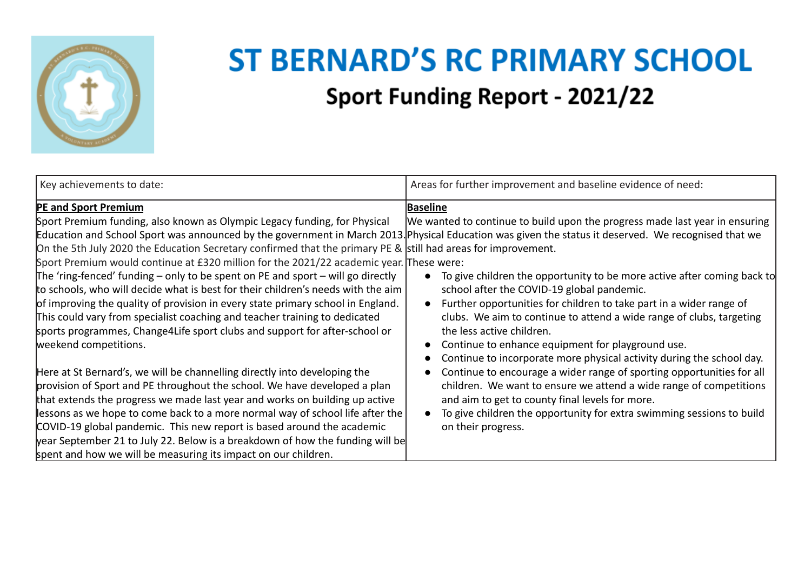

## **ST BERNARD'S RC PRIMARY SCHOOL Sport Funding Report - 2021/22**

| Key achievements to date:                                                                                                                                                                                                                                                                                                                                                                                                                                                                                                                           | Areas for further improvement and baseline evidence of need:                                                                                                                                                                                                                                                                                                                                                                    |
|-----------------------------------------------------------------------------------------------------------------------------------------------------------------------------------------------------------------------------------------------------------------------------------------------------------------------------------------------------------------------------------------------------------------------------------------------------------------------------------------------------------------------------------------------------|---------------------------------------------------------------------------------------------------------------------------------------------------------------------------------------------------------------------------------------------------------------------------------------------------------------------------------------------------------------------------------------------------------------------------------|
| <b>PE and Sport Premium</b><br>Sport Premium funding, also known as Olympic Legacy funding, for Physical                                                                                                                                                                                                                                                                                                                                                                                                                                            | <b>Baseline</b><br>We wanted to continue to build upon the progress made last year in ensuring                                                                                                                                                                                                                                                                                                                                  |
| Education and School Sport was announced by the government in March 2013. Physical Education was given the status it deserved. We recognised that we<br>On the 5th July 2020 the Education Secretary confirmed that the primary PE & still had areas for improvement.                                                                                                                                                                                                                                                                               |                                                                                                                                                                                                                                                                                                                                                                                                                                 |
| Sport Premium would continue at £320 million for the 2021/22 academic year. These were:<br>The 'ring-fenced' funding – only to be spent on PE and sport – will go directly<br>to schools, who will decide what is best for their children's needs with the aim<br>of improving the quality of provision in every state primary school in England.<br>This could vary from specialist coaching and teacher training to dedicated<br>sports programmes, Change4Life sport clubs and support for after-school or<br>weekend competitions.              | To give children the opportunity to be more active after coming back to<br>school after the COVID-19 global pandemic.<br>Further opportunities for children to take part in a wider range of<br>clubs. We aim to continue to attend a wide range of clubs, targeting<br>the less active children.<br>Continue to enhance equipment for playground use.<br>Continue to incorporate more physical activity during the school day. |
| Here at St Bernard's, we will be channelling directly into developing the<br>provision of Sport and PE throughout the school. We have developed a plan<br>that extends the progress we made last year and works on building up active<br>lessons as we hope to come back to a more normal way of school life after the<br>COVID-19 global pandemic. This new report is based around the academic<br>year September 21 to July 22. Below is a breakdown of how the funding will be<br>spent and how we will be measuring its impact on our children. | Continue to encourage a wider range of sporting opportunities for all<br>children. We want to ensure we attend a wide range of competitions<br>and aim to get to county final levels for more.<br>To give children the opportunity for extra swimming sessions to build<br>on their progress.                                                                                                                                   |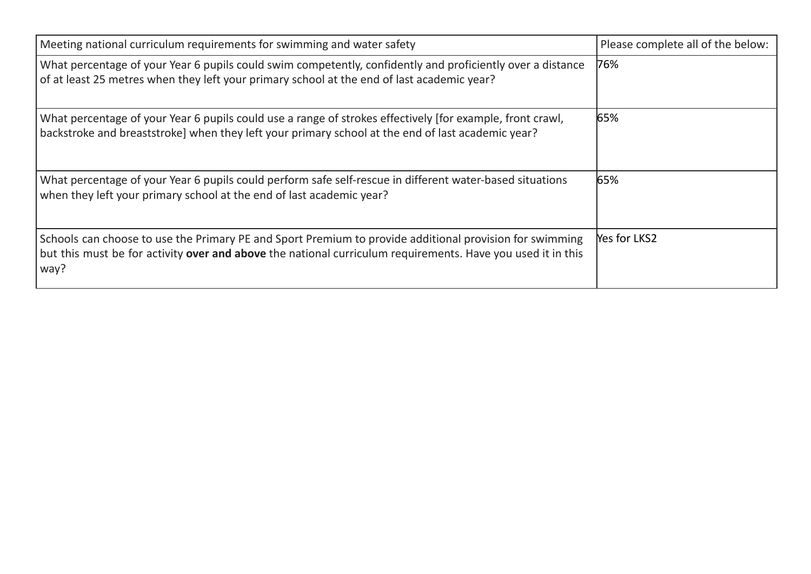| Meeting national curriculum requirements for swimming and water safety                                                                                                                                                         | Please complete all of the below: |
|--------------------------------------------------------------------------------------------------------------------------------------------------------------------------------------------------------------------------------|-----------------------------------|
| What percentage of your Year 6 pupils could swim competently, confidently and proficiently over a distance<br>of at least 25 metres when they left your primary school at the end of last academic year?                       | 76%                               |
| What percentage of your Year 6 pupils could use a range of strokes effectively [for example, front crawl,<br>backstroke and breaststroke] when they left your primary school at the end of last academic year?                 | 65%                               |
| What percentage of your Year 6 pupils could perform safe self-rescue in different water-based situations<br>when they left your primary school at the end of last academic year?                                               | 65%                               |
| Schools can choose to use the Primary PE and Sport Premium to provide additional provision for swimming<br>but this must be for activity over and above the national curriculum requirements. Have you used it in this<br>way? | Yes for LKS2                      |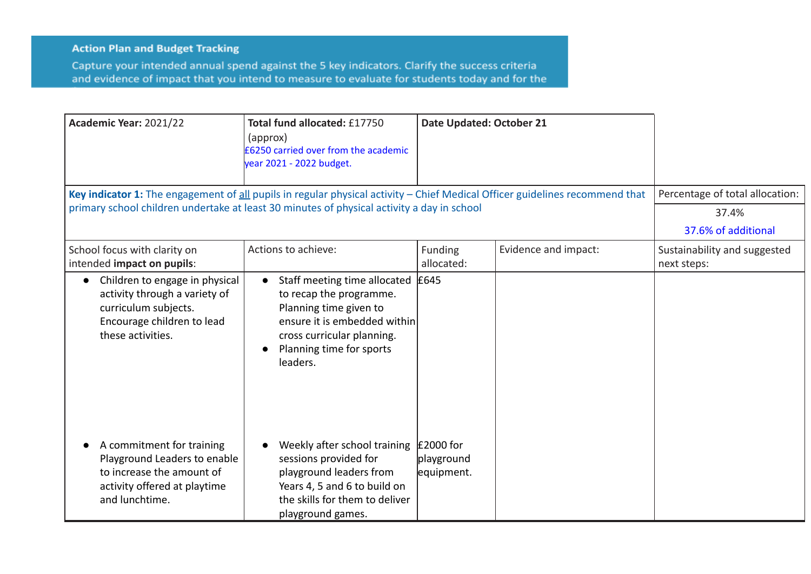## **Action Plan and Budget Tracking**

Capture your intended annual spend against the 5 key indicators. Clarify the success criteria and evidence of impact that you intend to measure to evaluate for students today and for the

| Academic Year: 2021/22                                                                                                                                                                                                     | Total fund allocated: £17750<br>(approx)<br><b>E6250 carried over from the academic</b><br>year 2021 - 2022 budget.                                                                                               | Date Updated: October 21                |                      |                                                                 |
|----------------------------------------------------------------------------------------------------------------------------------------------------------------------------------------------------------------------------|-------------------------------------------------------------------------------------------------------------------------------------------------------------------------------------------------------------------|-----------------------------------------|----------------------|-----------------------------------------------------------------|
| Key indicator 1: The engagement of all pupils in regular physical activity - Chief Medical Officer guidelines recommend that<br>primary school children undertake at least 30 minutes of physical activity a day in school |                                                                                                                                                                                                                   |                                         |                      | Percentage of total allocation:<br>37.4%<br>37.6% of additional |
| School focus with clarity on<br>intended impact on pupils:                                                                                                                                                                 | Actions to achieve:                                                                                                                                                                                               | Funding<br>allocated:                   | Evidence and impact: | Sustainability and suggested<br>next steps:                     |
| Children to engage in physical<br>activity through a variety of<br>curriculum subjects.<br>Encourage children to lead<br>these activities.                                                                                 | Staff meeting time allocated<br>$\bullet$<br>to recap the programme.<br>Planning time given to<br>ensure it is embedded within<br>cross curricular planning.<br>Planning time for sports<br>$\bullet$<br>leaders. | £645                                    |                      |                                                                 |
| A commitment for training<br>Playground Leaders to enable<br>to increase the amount of<br>activity offered at playtime<br>and lunchtime.                                                                                   | Weekly after school training<br>sessions provided for<br>playground leaders from<br>Years 4, 5 and 6 to build on<br>the skills for them to deliver<br>playground games.                                           | $£2000$ for<br>playground<br>equipment. |                      |                                                                 |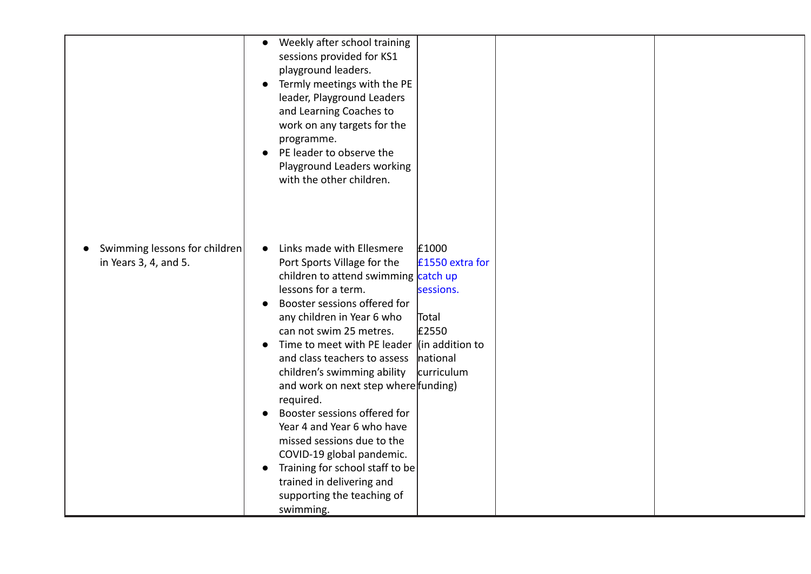|                                                        | Weekly after school training<br>$\bullet$<br>sessions provided for KS1<br>playground leaders.<br>Termly meetings with the PE<br>$\bullet$<br>leader, Playground Leaders<br>and Learning Coaches to<br>work on any targets for the<br>programme.<br>PE leader to observe the<br>Playground Leaders working<br>with the other children.                                                                                                                                                                                                                                                                                |                                                                                                           |  |
|--------------------------------------------------------|----------------------------------------------------------------------------------------------------------------------------------------------------------------------------------------------------------------------------------------------------------------------------------------------------------------------------------------------------------------------------------------------------------------------------------------------------------------------------------------------------------------------------------------------------------------------------------------------------------------------|-----------------------------------------------------------------------------------------------------------|--|
| Swimming lessons for children<br>in Years 3, 4, and 5. | Links made with Ellesmere<br>Port Sports Village for the<br>children to attend swimming catch up<br>lessons for a term.<br>Booster sessions offered for<br>$\bullet$<br>any children in Year 6 who<br>can not swim 25 metres.<br>Time to meet with PE leader<br>and class teachers to assess<br>children's swimming ability<br>and work on next step where funding)<br>required.<br>Booster sessions offered for<br>Year 4 and Year 6 who have<br>missed sessions due to the<br>COVID-19 global pandemic.<br>Training for school staff to be<br>trained in delivering and<br>supporting the teaching of<br>swimming. | £1000<br>£1550 extra for<br>sessions.<br>Total<br>£2550<br>$\ $ (in addition to<br>national<br>curriculum |  |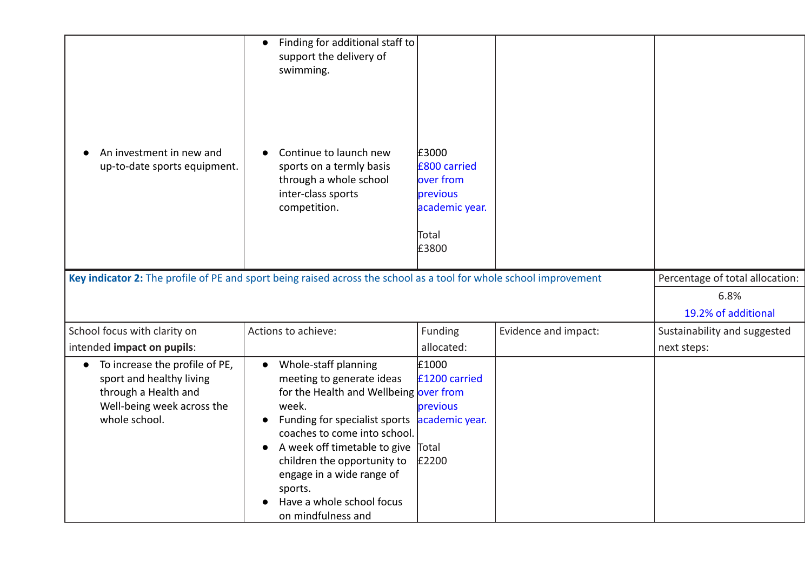|                                                                                                                                                | Finding for additional staff to<br>$\bullet$<br>support the delivery of<br>swimming.                                                                                               |                                                                                    |                      |                                 |
|------------------------------------------------------------------------------------------------------------------------------------------------|------------------------------------------------------------------------------------------------------------------------------------------------------------------------------------|------------------------------------------------------------------------------------|----------------------|---------------------------------|
| An investment in new and<br>up-to-date sports equipment.                                                                                       | Continue to launch new<br>sports on a termly basis<br>through a whole school<br>inter-class sports<br>competition.                                                                 | £3000<br>£800 carried<br>over from<br>previous<br>academic year.<br>Total<br>£3800 |                      |                                 |
|                                                                                                                                                | Key indicator 2: The profile of PE and sport being raised across the school as a tool for whole school improvement                                                                 |                                                                                    |                      | Percentage of total allocation: |
|                                                                                                                                                |                                                                                                                                                                                    |                                                                                    |                      | 6.8%                            |
|                                                                                                                                                |                                                                                                                                                                                    |                                                                                    |                      | 19.2% of additional             |
| School focus with clarity on                                                                                                                   | Actions to achieve:                                                                                                                                                                | Funding                                                                            | Evidence and impact: | Sustainability and suggested    |
| intended impact on pupils:                                                                                                                     |                                                                                                                                                                                    | allocated:                                                                         |                      | next steps:                     |
| To increase the profile of PE,<br>$\bullet$<br>sport and healthy living<br>through a Health and<br>Well-being week across the<br>whole school. | Whole-staff planning<br>$\bullet$<br>meeting to generate ideas<br>for the Health and Wellbeing over from<br>week.<br>Funding for specialist sports<br>coaches to come into school. | £1000<br>£1200 carried<br>previous<br>academic year.                               |                      |                                 |
|                                                                                                                                                | A week off timetable to give<br>$\bullet$<br>children the opportunity to<br>engage in a wide range of<br>sports.<br>Have a whole school focus<br>on mindfulness and                | Total<br>£2200                                                                     |                      |                                 |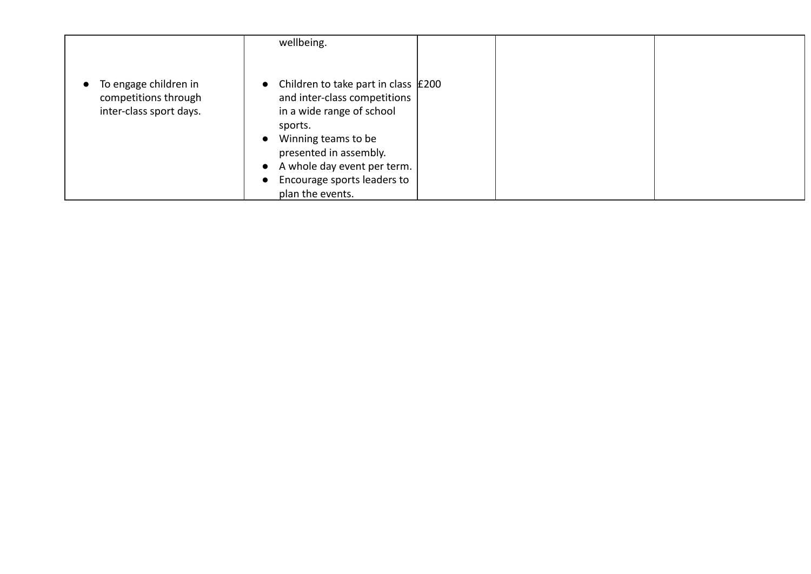|                                                                            | wellbeing.                                                                                                                                                                                                                                                                                      |  |
|----------------------------------------------------------------------------|-------------------------------------------------------------------------------------------------------------------------------------------------------------------------------------------------------------------------------------------------------------------------------------------------|--|
| • To engage children in<br>competitions through<br>inter-class sport days. | Children to take part in class $\vert$ £200<br>$\bullet$<br>and inter-class competitions<br>in a wide range of school<br>sports.<br>Winning teams to be<br>$\bullet$<br>presented in assembly.<br>• A whole day event per term.<br>Encourage sports leaders to<br>$\bullet$<br>plan the events. |  |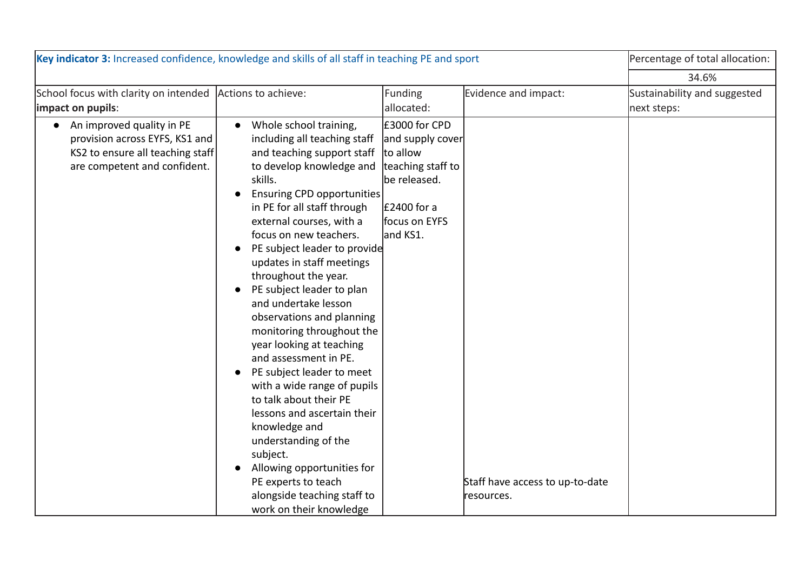| Key indicator 3: Increased confidence, knowledge and skills of all staff in teaching PE and sport                                 |                                                                                                                                                                                                                                                                                                                                                                                                                                                                                                                                                                                                                                                                                                                                                                                                                                   |                                                                                                                                   | Percentage of total allocation:               |                              |
|-----------------------------------------------------------------------------------------------------------------------------------|-----------------------------------------------------------------------------------------------------------------------------------------------------------------------------------------------------------------------------------------------------------------------------------------------------------------------------------------------------------------------------------------------------------------------------------------------------------------------------------------------------------------------------------------------------------------------------------------------------------------------------------------------------------------------------------------------------------------------------------------------------------------------------------------------------------------------------------|-----------------------------------------------------------------------------------------------------------------------------------|-----------------------------------------------|------------------------------|
|                                                                                                                                   |                                                                                                                                                                                                                                                                                                                                                                                                                                                                                                                                                                                                                                                                                                                                                                                                                                   |                                                                                                                                   |                                               | 34.6%                        |
| School focus with clarity on intended Actions to achieve:                                                                         |                                                                                                                                                                                                                                                                                                                                                                                                                                                                                                                                                                                                                                                                                                                                                                                                                                   | Funding                                                                                                                           | Evidence and impact:                          | Sustainability and suggested |
| impact on pupils:                                                                                                                 |                                                                                                                                                                                                                                                                                                                                                                                                                                                                                                                                                                                                                                                                                                                                                                                                                                   | allocated:                                                                                                                        |                                               | next steps:                  |
| • An improved quality in PE<br>provision across EYFS, KS1 and<br>KS2 to ensure all teaching staff<br>are competent and confident. | Whole school training,<br>$\bullet$<br>including all teaching staff<br>and teaching support staff<br>to develop knowledge and<br>skills.<br><b>Ensuring CPD opportunities</b><br>in PE for all staff through<br>external courses, with a<br>focus on new teachers.<br>PE subject leader to provide<br>updates in staff meetings<br>throughout the year.<br>PE subject leader to plan<br>and undertake lesson<br>observations and planning<br>monitoring throughout the<br>year looking at teaching<br>and assessment in PE.<br>PE subject leader to meet<br>$\bullet$<br>with a wide range of pupils<br>to talk about their PE<br>lessons and ascertain their<br>knowledge and<br>understanding of the<br>subject.<br>Allowing opportunities for<br>PE experts to teach<br>alongside teaching staff to<br>work on their knowledge | £3000 for CPD<br>and supply cover<br>to allow<br>teaching staff to<br>be released.<br>$E2400$ for a<br>focus on EYFS<br>land KS1. | Staff have access to up-to-date<br>resources. |                              |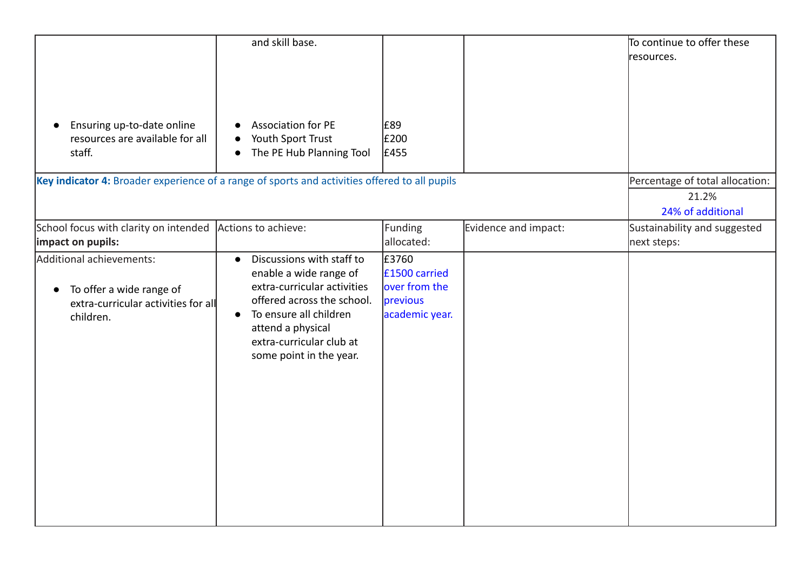|                                                                                                          | and skill base.                                                                                                                                                                                                                                  |                                                                       |                      | To continue to offer these<br>resources.                      |
|----------------------------------------------------------------------------------------------------------|--------------------------------------------------------------------------------------------------------------------------------------------------------------------------------------------------------------------------------------------------|-----------------------------------------------------------------------|----------------------|---------------------------------------------------------------|
| Ensuring up-to-date online<br>resources are available for all<br>staff.                                  | <b>Association for PE</b><br>Youth Sport Trust<br>$\bullet$<br>The PE Hub Planning Tool                                                                                                                                                          | £89<br>£200<br>£455                                                   |                      |                                                               |
| Key indicator 4: Broader experience of a range of sports and activities offered to all pupils            |                                                                                                                                                                                                                                                  |                                                                       |                      | Percentage of total allocation:<br>21.2%<br>24% of additional |
| School focus with clarity on intended<br>impact on pupils:                                               | Actions to achieve:                                                                                                                                                                                                                              | Funding<br>allocated:                                                 | Evidence and impact: | Sustainability and suggested<br>next steps:                   |
| Additional achievements:<br>To offer a wide range of<br>extra-curricular activities for all<br>children. | Discussions with staff to<br>$\bullet$<br>enable a wide range of<br>extra-curricular activities<br>offered across the school.<br>To ensure all children<br>$\bullet$<br>attend a physical<br>extra-curricular club at<br>some point in the year. | £3760<br>£1500 carried<br>over from the<br>previous<br>academic year. |                      |                                                               |